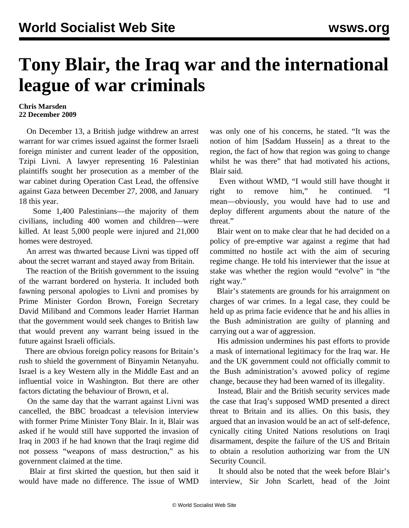## **Tony Blair, the Iraq war and the international league of war criminals**

## **Chris Marsden 22 December 2009**

 On December 13, a British judge withdrew an arrest warrant for war crimes issued against the former Israeli foreign minister and current leader of the opposition, Tzipi Livni. A lawyer representing 16 Palestinian plaintiffs sought her prosecution as a member of the war cabinet during Operation Cast Lead, the offensive against Gaza between December 27, 2008, and January 18 this year.

 Some 1,400 Palestinians—the majority of them civilians, including 400 women and children—were killed. At least 5,000 people were injured and 21,000 homes were destroyed.

 An arrest was thwarted because Livni was tipped off about the secret warrant and stayed away from Britain.

 The reaction of the British government to the issuing of the warrant bordered on hysteria. It included both fawning personal apologies to Livni and promises by Prime Minister Gordon Brown, Foreign Secretary David Miliband and Commons leader Harriet Harman that the government would seek changes to British law that would prevent any warrant being issued in the future against Israeli officials.

 There are obvious foreign policy reasons for Britain's rush to shield the government of Binyamin Netanyahu. Israel is a key Western ally in the Middle East and an influential voice in Washington. But there are other factors dictating the behaviour of Brown, et al.

 On the same day that the warrant against Livni was cancelled, the BBC broadcast a television interview with former Prime Minister Tony Blair. In it, Blair was asked if he would still have supported the invasion of Iraq in 2003 if he had known that the Iraqi regime did not possess "weapons of mass destruction," as his government claimed at the time.

 Blair at first skirted the question, but then said it would have made no difference. The issue of WMD

was only one of his concerns, he stated. "It was the notion of him [Saddam Hussein] as a threat to the region, the fact of how that region was going to change whilst he was there" that had motivated his actions, Blair said.

 Even without WMD, "I would still have thought it right to remove him," he continued. "I mean—obviously, you would have had to use and deploy different arguments about the nature of the threat."

 Blair went on to make clear that he had decided on a policy of pre-emptive war against a regime that had committed no hostile act with the aim of securing regime change. He told his interviewer that the issue at stake was whether the region would "evolve" in "the right way."

 Blair's statements are grounds for his arraignment on charges of war crimes. In a legal case, they could be held up as prima facie evidence that he and his allies in the Bush administration are guilty of planning and carrying out a war of aggression.

 His admission undermines his past efforts to provide a mask of international legitimacy for the Iraq war. He and the UK government could not officially commit to the Bush administration's avowed policy of regime change, because they had been warned of its illegality.

 Instead, Blair and the British security services made the case that Iraq's supposed WMD presented a direct threat to Britain and its allies. On this basis, they argued that an invasion would be an act of self-defence, cynically citing United Nations resolutions on Iraqi disarmament, despite the failure of the US and Britain to obtain a resolution authorizing war from the UN Security Council.

 It should also be noted that the week before Blair's interview, Sir John Scarlett, head of the Joint